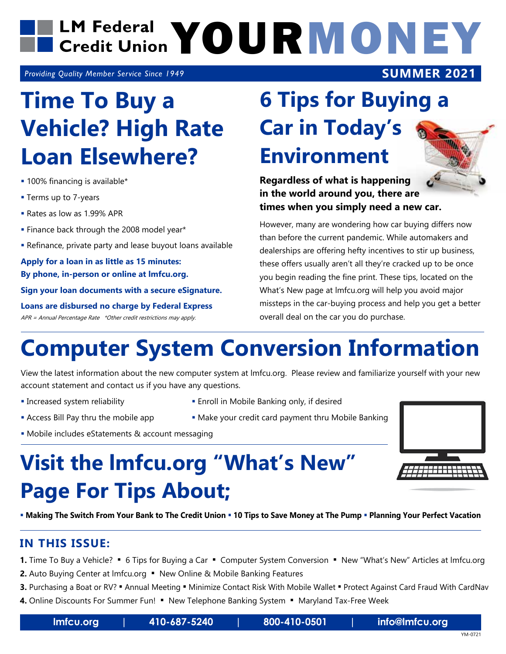

*Providing Quality Member Service Since 1949*

## **Time To Buy a Vehicle? High Rate Loan Elsewhere?**

- 100% financing is available\*
- **Terms up to 7-years**
- Rates as low as 1.99% APR
- **Finance back through the 2008 model year\***
- Refinance, private party and lease buyout loans available

**Apply for a loan in as little as 15 minutes: By phone, in-person or online at lmfcu.org.**

**Sign your loan documents with a secure eSignature.**

**Loans are disbursed no charge by Federal Express** APR = Annual Percentage Rate \*Other credit restrictions may apply.

### **6 Tips for Buying a Car in Today's Environment**

**Regardless of what is happening in the world around you, there are times when you simply need a new car.**

However, many are wondering how car buying differs now than before the current pandemic. While automakers and dealerships are offering hefty incentives to stir up business, these offers usually aren't all they're cracked up to be once you begin reading the fine print. These tips, located on the What's New page at lmfcu.org will help you avoid major missteps in the car-buying process and help you get a better overall deal on the car you do purchase.

### **Computer System Conversion Information**

View the latest information about the new computer system at lmfcu.org. Please review and familiarize yourself with your new account statement and contact us if you have any questions.

- 
- Increased system reliability Enroll in Mobile Banking only, if desired
- Access Bill Pay thru the mobile app **Make your credit card payment thru Mobile Banking**
- Mobile includes eStatements & account messaging

### **Visit the lmfcu.org "What's New" Page For Tips About;**

**Making The Switch From Your Bank to The Credit Union 10 Tips to Save Money at The Pump Planning Your Perfect Vacation**

#### **IN THIS ISSUE:**

**1.** Time To Buy a Vehicle? • 6 Tips for Buying a Car • Computer System Conversion • New "What's New" Articles at Imfcu.org

- **2.** Auto Buying Center at Imfcu.org New Online & Mobile Banking Features
- **3.** Purchasing a Boat or RV? " Annual Meeting " Minimize Contact Risk With Mobile Wallet " Protect Against Card Fraud With CardNav

4. Online Discounts For Summer Fun! . New Telephone Banking System . Maryland Tax-Free Week

**lmfcu.org | 410-687-5240 | 800-410-0501 | info@lmfcu.org**

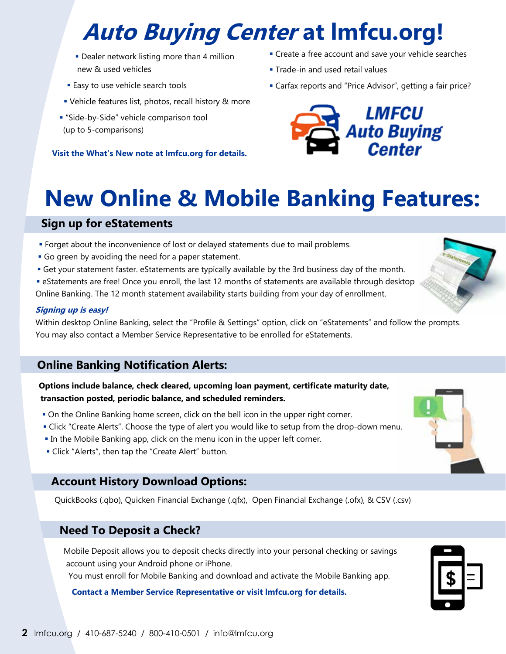# **Auto Buying Center at lmfcu.org!**

- **-** Dealer network listing more than 4 million new & used vehicles
- **Easy to use vehicle search tools**
- Vehicle features list, photos, recall history & more
- "Side-by-Side" vehicle comparison tool (up to 5-comparisons)

**Visit the What's New note at lmfcu.org for details.**

- **Create a free account and save your vehicle searches**
- **Trade-in and used retail values**
- Carfax reports and "Price Advisor", getting a fair price?



### **New Online & Mobile Banking Features:**

#### **Sign up for eStatements**

- Forget about the inconvenience of lost or delayed statements due to mail problems.
- Go green by avoiding the need for a paper statement.
- Get your statement faster. eStatements are typically available by the 3rd business day of the month.
- eStatements are free! Once you enroll, the last 12 months of statements are available through desktop Online Banking. The 12 month statement availability starts building from your day of enrollment.

#### **Signing up is easy!**

Within desktop Online Banking, select the "Profile & Settings" option, click on "eStatements" and follow the prompts. You may also contact a Member Service Representative to be enrolled for eStatements.

#### **Online Banking Notification Alerts:**

**Options include balance, check cleared, upcoming loan payment, certificate maturity date, transaction posted, periodic balance, and scheduled reminders.** 

- On the Online Banking home screen, click on the bell icon in the upper right corner.
- Click "Create Alerts". Choose the type of alert you would like to setup from the drop-down menu.
- In the Mobile Banking app, click on the menu icon in the upper left corner.
- Click "Alerts", then tap the "Create Alert" button.

#### **Account History Download Options:**

QuickBooks (.qbo), Quicken Financial Exchange (.qfx), Open Financial Exchange (.ofx), & CSV (.csv)

#### **Need To Deposit a Check?**

Mobile Deposit allows you to deposit checks directly into your personal checking or savings account using your Android phone or iPhone.

You must enroll for Mobile Banking and download and activate the Mobile Banking app.

#### **Contact a Member Service Representative or visit lmfcu.org for details.**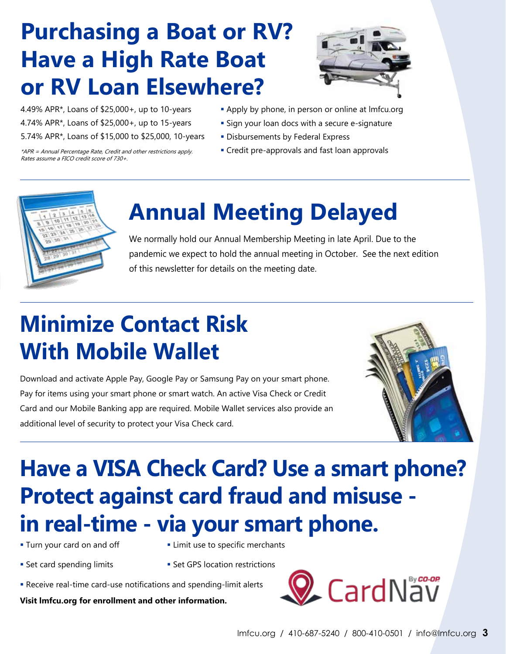## **Purchasing a Boat or RV? Have a High Rate Boat or RV Loan Elsewhere?**



- 4.49% APR\*, Loans of \$25,000+, up to 10-years
- 4.74% APR\*, Loans of \$25,000+, up to 15-years
- 5.74% APR\*, Loans of \$15,000 to \$25,000, 10-years

\*APR = Annual Percentage Rate, Credit and other restrictions apply. Rates assume a FICO credit score of 730+.

- **Apply by phone, in person or online at Imfcu.org**
- **Sign your loan docs with a secure e-signature**
- **Disbursements by Federal Express**
- **Credit pre-approvals and fast loan approvals**



## **Annual Meeting Delayed**

We normally hold our Annual Membership Meeting in late April. Due to the pandemic we expect to hold the annual meeting in October. See the next edition of this newsletter for details on the meeting date.

# **Minimize Contact Risk With Mobile Wallet**

Download and activate Apple Pay, Google Pay or Samsung Pay on your smart phone. Pay for items using your smart phone or smart watch. An active Visa Check or Credit Card and our Mobile Banking app are required. Mobile Wallet services also provide an additional level of security to protect your Visa Check card.



## **Have a VISA Check Card? Use a smart phone? Protect against card fraud and misuse in real-time - via your smart phone.**

- 
- **Turn your card on and off Limit use to specific merchants**
- **Set card spending limits** Set GPS location restrictions
- 
- Receive real-time card-use notifications and spending-limit alerts

**Visit lmfcu.org for enrollment and other information.**